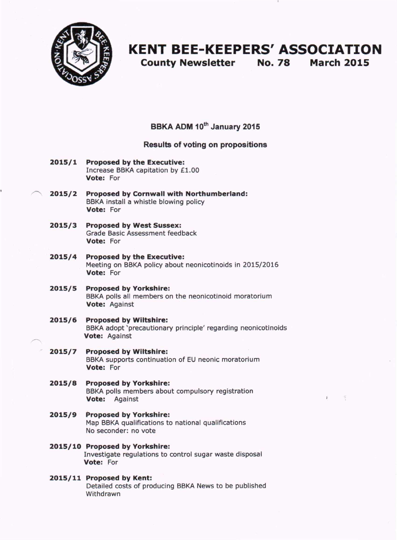

# **KENT BEE-KEEPERS' ASSOCIATION**

**County Newsletter** No. 78 **March 2015**

**BBKA ADM 10th January 2015**

### **Results of voting on propositions**

- **2015/1 Proposed by the Executive:** Increase BBKA capitation by £1.00 **Vote:** For
- **~ 2015/2 Proposed by Cornwall with Northumberland:** BBKA install a whistle blowing policy **Vote:** For
- **2015/3 Proposed by West Sussex:** Grade Basic Assessment feedback **Vote:** For
- **2015/4 Proposed by the Executive:** Meeting on BBKA policy about neonicotinoids in 2015/2016 **Vote:** For
- **2015/5 Proposed by Yorkshire:** BBKA polls all members on the neonicotinoid moratorium **Vote:** Against
- **2015/6 Proposed by Wiltshire:** BBKA adopt 'precautionary principle' regarding neonicotinoids **Vote:** Against
- **- 2015/7 Proposed by Wiltshire:** BBKA supports continuation of EU neonic moratorium **Vote:** For
- **2015/8 Proposed by Yorkshire:** BBKA polls members about compulsory registration **Vote:** Against
- **2015/9 Proposed by Yorkshire:** Map BBKA qualifications to national qualifications No seconder: no vote
- **2015/10 Proposed by Yorkshire:** Investigate regulations to control sugar waste disposal **Vote:** For

#### **2015/11 Proposed by Kent:** Detailed costs of producing BBKA News to be published Withdrawn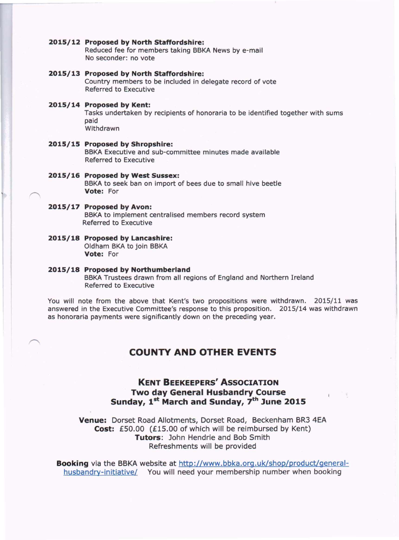#### **2015/12 Proposed by North Staffordshire:**

Reduced fee for members taking BBKA News by e-mail No seconder: no vote

**2015/13 Proposed by North Staffordshire:** Country members to be included in delegate record of vote Referred to Executive

#### **2015/14 Proposed by Kent:**

Tasks undertaken by recipients of honoraria to be identified together with sums paid Withdrawn

**2015/15 Proposed by Shropshire:** BBKA Executive and sub-committee minutes made available Referred to Executive

#### **2015/16 Proposed by West Sussex:** BBKA to seek ban on import of bees due to small hive beetle **Vote:** For

### **2015/17 Proposed by Avon:**

BBKA to implement centralised members record system Referred to Executive

**2015/18 Proposed by Lancashire:** Oldham BKA to join BBKA **Vote:** For

#### **2015/18 Proposed by Northumberland**

BBKA Trustees drawn from all regions of England and Northern Ireland Referred to Executive

You will note from the above that Kent's two propositions were withdrawn. 2015/11 was answered in the Executive Committee's response to this proposition. 2015/14 was withdrawn as honoraria payments were significantly down on the preceding year.

### **COUNTY AND OTHER EVENTS**

### **KENT BEEKEEPERS' ASSOCIATION Two day General Husbandry Course Sunday, 1 st March and Sunday, 7th June 2015**

**Venue:** Dorset Road Allotments, Dorset Road, Beckenham BR3 4EA **Cost:** £50.00 (£15.00 of which will be reimbursed by Kent) **Tutors:** John Hendrie and Bob Smith Refreshments will be provided

**Booking** via the BBKA website at http://www.bbka.org.uk/shop/product/generalhusbandry-initiative/ You will need your membership number when booking